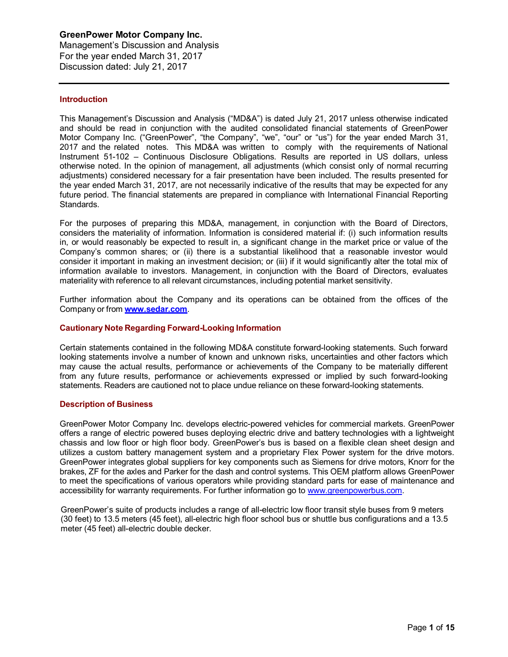Management's Discussion and Analysis For the year ended March 31, 2017 Discussion dated: July 21, 2017

#### **Introduction**

This Management's Discussion and Analysis ("MD&A") is dated July 21, 2017 unless otherwise indicated and should be read in conjunction with the audited consolidated financial statements of GreenPower Motor Company Inc. ("GreenPower", "the Company", "we", "our" or "us") for the year ended March 31, 2017 and the related notes. This MD&A was written to comply with the requirements of National Instrument 51-102 – Continuous Disclosure Obligations. Results are reported in US dollars, unless otherwise noted. In the opinion of management, all adjustments (which consist only of normal recurring adjustments) considered necessary for a fair presentation have been included. The results presented for the year ended March 31, 2017, are not necessarily indicative of the results that may be expected for any future period. The financial statements are prepared in compliance with International Financial Reporting Standards.

For the purposes of preparing this MD&A, management, in conjunction with the Board of Directors, considers the materiality of information. Information is considered material if: (i) such information results in, or would reasonably be expected to result in, a significant change in the market price or value of the Company's common shares; or (ii) there is a substantial likelihood that a reasonable investor would consider it important in making an investment decision; or (iii) if it would significantly alter the total mix of information available to investors. Management, in conjunction with the Board of Directors, evaluates materiality with reference to all relevant circumstances, including potential market sensitivity.

Further information about the Company and its operations can be obtained from the offices of the Company or from **www.sedar.com**.

#### **Cautionary Note Regarding Forward-Looking Information**

Certain statements contained in the following MD&A constitute forward-looking statements. Such forward looking statements involve a number of known and unknown risks, uncertainties and other factors which may cause the actual results, performance or achievements of the Company to be materially different from any future results, performance or achievements expressed or implied by such forward-looking statements. Readers are cautioned not to place undue reliance on these forward-looking statements.

#### **Description of Business**

GreenPower Motor Company Inc. develops electric-powered vehicles for commercial markets. GreenPower offers a range of electric powered buses deploying electric drive and battery technologies with a lightweight chassis and low floor or high floor body. GreenPower's bus is based on a flexible clean sheet design and utilizes a custom battery management system and a proprietary Flex Power system for the drive motors. GreenPower integrates global suppliers for key components such as Siemens for drive motors, Knorr for the brakes, ZF for the axles and Parker for the dash and control systems. This OEM platform allows GreenPower to meet the specifications of various operators while providing standard parts for ease of maintenance and accessibility for warranty requirements. For further information go to www.greenpowerbus.com.

GreenPower's suite of products includes a range of all-electric low floor transit style buses from 9 meters (30 feet) to 13.5 meters (45 feet), all-electric high floor school bus or shuttle bus configurations and a 13.5 meter (45 feet) all-electric double decker.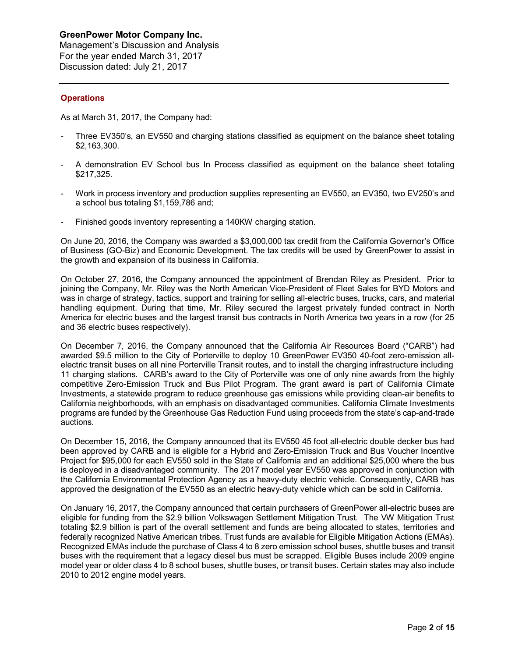Management's Discussion and Analysis For the year ended March 31, 2017 Discussion dated: July 21, 2017

## **Operations**

As at March 31, 2017, the Company had:

- Three EV350's, an EV550 and charging stations classified as equipment on the balance sheet totaling \$2,163,300.
- A demonstration EV School bus In Process classified as equipment on the balance sheet totaling \$217,325.
- Work in process inventory and production supplies representing an EV550, an EV350, two EV250's and a school bus totaling \$1,159,786 and;
- Finished goods inventory representing a 140KW charging station.

On June 20, 2016, the Company was awarded a \$3,000,000 tax credit from the California Governor's Office of Business (GO-Biz) and Economic Development. The tax credits will be used by GreenPower to assist in the growth and expansion of its business in California.

On October 27, 2016, the Company announced the appointment of Brendan Riley as President. Prior to joining the Company, Mr. Riley was the North American Vice-President of Fleet Sales for BYD Motors and was in charge of strategy, tactics, support and training for selling all-electric buses, trucks, cars, and material handling equipment. During that time, Mr. Riley secured the largest privately funded contract in North America for electric buses and the largest transit bus contracts in North America two years in a row (for 25 and 36 electric buses respectively).

On December 7, 2016, the Company announced that the California Air Resources Board ("CARB") had awarded \$9.5 million to the City of Porterville to deploy 10 GreenPower EV350 40-foot zero-emission allelectric transit buses on all nine Porterville Transit routes, and to install the charging infrastructure including 11 charging stations. CARB's award to the City of Porterville was one of only nine awards from the highly competitive Zero-Emission Truck and Bus Pilot Program. The grant award is part of California Climate Investments, a statewide program to reduce greenhouse gas emissions while providing clean-air benefits to California neighborhoods, with an emphasis on disadvantaged communities. California Climate Investments programs are funded by the Greenhouse Gas Reduction Fund using proceeds from the state's cap-and-trade auctions.

On December 15, 2016, the Company announced that its EV550 45 foot all-electric double decker bus had been approved by CARB and is eligible for a Hybrid and Zero-Emission Truck and Bus Voucher Incentive Project for \$95,000 for each EV550 sold in the State of California and an additional \$25,000 where the bus is deployed in a disadvantaged community. The 2017 model year EV550 was approved in conjunction with the California Environmental Protection Agency as a heavy-duty electric vehicle. Consequently, CARB has approved the designation of the EV550 as an electric heavy-duty vehicle which can be sold in California.

On January 16, 2017, the Company announced that certain purchasers of GreenPower all-electric buses are eligible for funding from the \$2.9 billion Volkswagen Settlement Mitigation Trust. The VW Mitigation Trust totaling \$2.9 billion is part of the overall settlement and funds are being allocated to states, territories and federally recognized Native American tribes. Trust funds are available for Eligible Mitigation Actions (EMAs). Recognized EMAs include the purchase of Class 4 to 8 zero emission school buses, shuttle buses and transit buses with the requirement that a legacy diesel bus must be scrapped. Eligible Buses include 2009 engine model year or older class 4 to 8 school buses, shuttle buses, or transit buses. Certain states may also include 2010 to 2012 engine model years.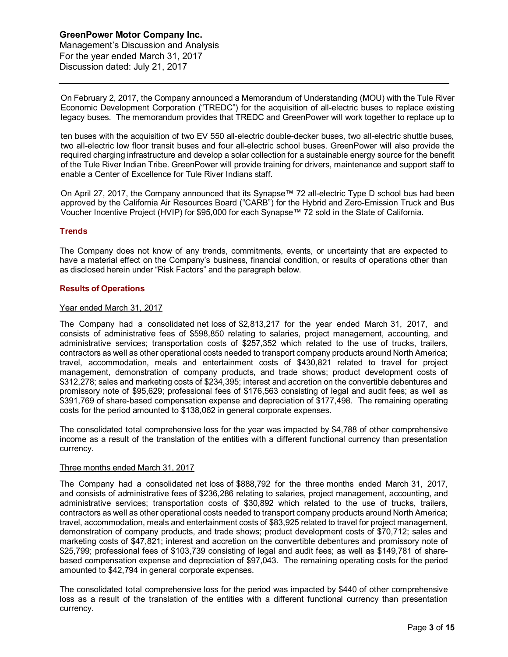On February 2, 2017, the Company announced a Memorandum of Understanding (MOU) with the Tule River Economic Development Corporation ("TREDC") for the acquisition of all-electric buses to replace existing legacy buses. The memorandum provides that TREDC and GreenPower will work together to replace up to

ten buses with the acquisition of two EV 550 all-electric double-decker buses, two all-electric shuttle buses, two all-electric low floor transit buses and four all-electric school buses. GreenPower will also provide the required charging infrastructure and develop a solar collection for a sustainable energy source for the benefit of the Tule River Indian Tribe. GreenPower will provide training for drivers, maintenance and support staff to enable a Center of Excellence for Tule River Indians staff.

On April 27, 2017, the Company announced that its Synapse™ 72 all-electric Type D school bus had been approved by the California Air Resources Board ("CARB") for the Hybrid and Zero-Emission Truck and Bus Voucher Incentive Project (HVIP) for \$95,000 for each Synapse™ 72 sold in the State of California.

## **Trends**

The Company does not know of any trends, commitments, events, or uncertainty that are expected to have a material effect on the Company's business, financial condition, or results of operations other than as disclosed herein under "Risk Factors" and the paragraph below.

#### **Results of Operations**

#### Year ended March 31, 2017

The Company had a consolidated net loss of \$2,813,217 for the year ended March 31, 2017, and consists of administrative fees of \$598,850 relating to salaries, project management, accounting, and administrative services; transportation costs of \$257,352 which related to the use of trucks, trailers, contractors as well as other operational costs needed to transport company products around North America; travel, accommodation, meals and entertainment costs of \$430,821 related to travel for project management, demonstration of company products, and trade shows; product development costs of \$312,278; sales and marketing costs of \$234,395; interest and accretion on the convertible debentures and promissory note of \$95,629; professional fees of \$176,563 consisting of legal and audit fees; as well as \$391,769 of share-based compensation expense and depreciation of \$177,498. The remaining operating costs for the period amounted to \$138,062 in general corporate expenses.

The consolidated total comprehensive loss for the year was impacted by \$4,788 of other comprehensive income as a result of the translation of the entities with a different functional currency than presentation currency.

#### Three months ended March 31, 2017

The Company had a consolidated net loss of \$888,792 for the three months ended March 31, 2017, and consists of administrative fees of \$236,286 relating to salaries, project management, accounting, and administrative services; transportation costs of \$30,892 which related to the use of trucks, trailers, contractors as well as other operational costs needed to transport company products around North America; travel, accommodation, meals and entertainment costs of \$83,925 related to travel for project management, demonstration of company products, and trade shows; product development costs of \$70,712; sales and marketing costs of \$47,821; interest and accretion on the convertible debentures and promissory note of \$25,799; professional fees of \$103,739 consisting of legal and audit fees; as well as \$149,781 of sharebased compensation expense and depreciation of \$97,043. The remaining operating costs for the period amounted to \$42,794 in general corporate expenses.

The consolidated total comprehensive loss for the period was impacted by \$440 of other comprehensive loss as a result of the translation of the entities with a different functional currency than presentation currency.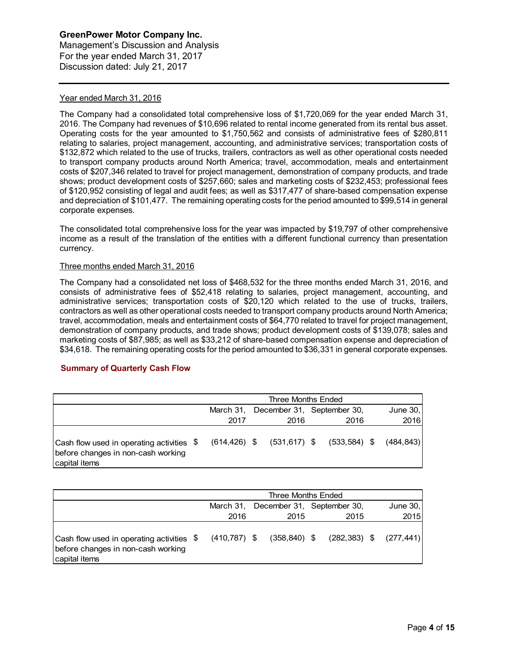Management's Discussion and Analysis For the year ended March 31, 2017 Discussion dated: July 21, 2017

## Year ended March 31, 2016

The Company had a consolidated total comprehensive loss of \$1,720,069 for the year ended March 31, 2016. The Company had revenues of \$10,696 related to rental income generated from its rental bus asset. Operating costs for the year amounted to \$1,750,562 and consists of administrative fees of \$280,811 relating to salaries, project management, accounting, and administrative services; transportation costs of \$132,872 which related to the use of trucks, trailers, contractors as well as other operational costs needed to transport company products around North America; travel, accommodation, meals and entertainment costs of \$207,346 related to travel for project management, demonstration of company products, and trade shows; product development costs of \$257,660; sales and marketing costs of \$232,453; professional fees of \$120,952 consisting of legal and audit fees; as well as \$317,477 of share-based compensation expense and depreciation of \$101,477. The remaining operating costs for the period amounted to \$99,514 in general corporate expenses.

The consolidated total comprehensive loss for the year was impacted by \$19,797 of other comprehensive income as a result of the translation of the entities with a different functional currency than presentation currency.

#### Three months ended March 31, 2016

The Company had a consolidated net loss of \$468,532 for the three months ended March 31, 2016, and consists of administrative fees of \$52,418 relating to salaries, project management, accounting, and administrative services; transportation costs of \$20,120 which related to the use of trucks, trailers, contractors as well as other operational costs needed to transport company products around North America; travel, accommodation, meals and entertainment costs of \$64,770 related to travel for project management, demonstration of company products, and trade shows; product development costs of \$139,078; sales and marketing costs of \$87,985; as well as \$33,212 of share-based compensation expense and depreciation of \$34,618. The remaining operating costs for the period amounted to \$36,331 in general corporate expenses.

## **Summary of Quarterly Cash Flow**

|                                                                                                  | Three Months Ended                               |  |      |                                                              |  |      |  |  |
|--------------------------------------------------------------------------------------------------|--------------------------------------------------|--|------|--------------------------------------------------------------|--|------|--|--|
|                                                                                                  | March 31, December 31, September 30,<br>June 30, |  |      |                                                              |  |      |  |  |
|                                                                                                  | 2017                                             |  | 2016 | 2016                                                         |  | 2016 |  |  |
| Cash flow used in operating activities \$<br>before changes in non-cash working<br>capital items |                                                  |  |      | $(614, 426)$ \$ $(531, 617)$ \$ $(533, 584)$ \$ $(484, 843)$ |  |      |  |  |

|                                                                                                  | Three Months Ended |  |      |                                                          |  |            |  |
|--------------------------------------------------------------------------------------------------|--------------------|--|------|----------------------------------------------------------|--|------------|--|
|                                                                                                  |                    |  |      | March 31, December 31, September 30,                     |  | June $30,$ |  |
|                                                                                                  | 2016               |  | 2015 | 2015                                                     |  | 2015       |  |
| Cash flow used in operating activities \$<br>before changes in non-cash working<br>capital items |                    |  |      | $(410,787)$ \$ $(358,840)$ \$ $(282,383)$ \$ $(277,441)$ |  |            |  |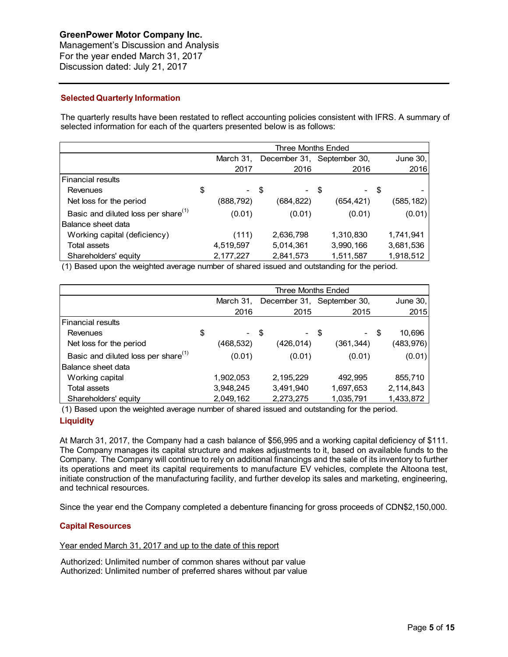Management's Discussion and Analysis For the year ended March 31, 2017 Discussion dated: July 21, 2017

## **Selected Quarterly Information**

The quarterly results have been restated to reflect accounting policies consistent with IFRS. A summary of selected information for each of the quarters presented below is as follows:

|                                                 | Three Months Ended |            |  |           |                            |      |            |
|-------------------------------------------------|--------------------|------------|--|-----------|----------------------------|------|------------|
|                                                 |                    | March 31,  |  |           | December 31, September 30, |      | June 30,   |
|                                                 |                    | 2017       |  | 2016      | 2016                       |      | 2016       |
| <b>Financial results</b>                        |                    |            |  |           |                            |      |            |
| Revenues                                        | \$                 | - \$       |  | - \$      |                            | - \$ |            |
| Net loss for the period                         |                    | (888, 792) |  | (684,822) | (654, 421)                 |      | (585, 182) |
| Basic and diluted loss per share <sup>(1)</sup> |                    | (0.01)     |  | (0.01)    | (0.01)                     |      | (0.01)     |
| Balance sheet data                              |                    |            |  |           |                            |      |            |
| Working capital (deficiency)                    |                    | (111)      |  | 2,636,798 | 1,310,830                  |      | 1,741,941  |
| <b>Total assets</b>                             |                    | 4,519,597  |  | 5,014,361 | 3,990,166                  |      | 3,681,536  |
| Shareholders' equity                            |                    | 2,177,227  |  | 2,841,573 | 1,511,587                  |      | 1,918,512  |

(1) Based upon the weighted average number of shared issued and outstanding for the period.

|                                                 | Three Months Ended |           |  |                            |  |           |  |            |
|-------------------------------------------------|--------------------|-----------|--|----------------------------|--|-----------|--|------------|
|                                                 |                    | March 31, |  | December 31, September 30, |  |           |  | June $30,$ |
|                                                 |                    | 2016      |  | 2015                       |  | 2015      |  | 2015       |
| <b>Financial results</b>                        |                    |           |  |                            |  |           |  |            |
| Revenues                                        | \$                 | - \$      |  | - \$                       |  | - \$      |  | 10,696     |
| Net loss for the period                         |                    | (468,532) |  | (426,014)                  |  | (361,344) |  | (483, 976) |
| Basic and diluted loss per share <sup>(1)</sup> |                    | (0.01)    |  | (0.01)                     |  | (0.01)    |  | (0.01)     |
| Balance sheet data                              |                    |           |  |                            |  |           |  |            |
| Working capital                                 |                    | 1,902,053 |  | 2,195,229                  |  | 492,995   |  | 855,710    |
| Total assets                                    |                    | 3,948,245 |  | 3,491,940                  |  | 1,697,653 |  | 2,114,843  |
| Shareholders' equity                            |                    | 2,049,162 |  | 2,273,275                  |  | 1,035,791 |  | 1,433,872  |

(1) Based upon the weighted average number of shared issued and outstanding for the period. **Liquidity**

At March 31, 2017, the Company had a cash balance of \$56,995 and a working capital deficiency of \$111. The Company manages its capital structure and makes adjustments to it, based on available funds to the Company. The Company will continue to rely on additional financings and the sale of its inventory to further its operations and meet its capital requirements to manufacture EV vehicles, complete the Altoona test, initiate construction of the manufacturing facility, and further develop its sales and marketing, engineering, and technical resources.

Since the year end the Company completed a debenture financing for gross proceeds of CDN\$2,150,000.

#### **Capital Resources**

Year ended March 31, 2017 and up to the date of this report

Authorized: Unlimited number of common shares without par value Authorized: Unlimited number of preferred shares without par value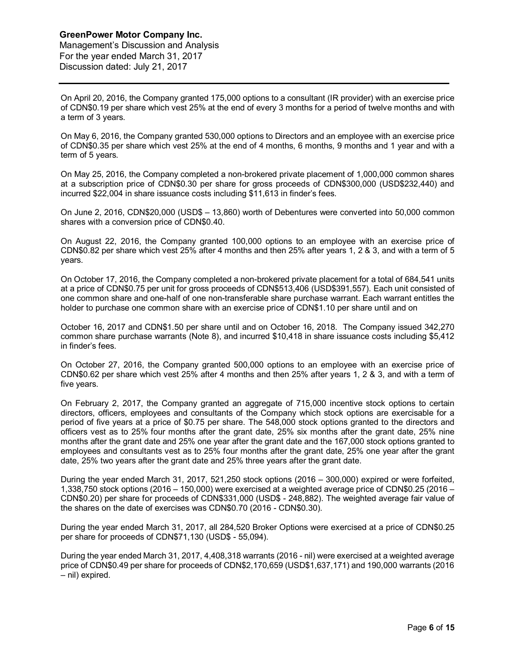Management's Discussion and Analysis For the year ended March 31, 2017 Discussion dated: July 21, 2017

On April 20, 2016, the Company granted 175,000 options to a consultant (IR provider) with an exercise price of CDN\$0.19 per share which vest 25% at the end of every 3 months for a period of twelve months and with a term of 3 years.

On May 6, 2016, the Company granted 530,000 options to Directors and an employee with an exercise price of CDN\$0.35 per share which vest 25% at the end of 4 months, 6 months, 9 months and 1 year and with a term of 5 years.

On May 25, 2016, the Company completed a non-brokered private placement of 1,000,000 common shares at a subscription price of CDN\$0.30 per share for gross proceeds of CDN\$300,000 (USD\$232,440) and incurred \$22,004 in share issuance costs including \$11,613 in finder's fees.

On June 2, 2016, CDN\$20,000 (USD\$ – 13,860) worth of Debentures were converted into 50,000 common shares with a conversion price of CDN\$0.40.

On August 22, 2016, the Company granted 100,000 options to an employee with an exercise price of CDN\$0.82 per share which vest 25% after 4 months and then 25% after years 1, 2 & 3, and with a term of 5 years.

On October 17, 2016, the Company completed a non-brokered private placement for a total of 684,541 units at a price of CDN\$0.75 per unit for gross proceeds of CDN\$513,406 (USD\$391,557). Each unit consisted of one common share and one-half of one non-transferable share purchase warrant. Each warrant entitles the holder to purchase one common share with an exercise price of CDN\$1.10 per share until and on

October 16, 2017 and CDN\$1.50 per share until and on October 16, 2018. The Company issued 342,270 common share purchase warrants (Note 8), and incurred \$10,418 in share issuance costs including \$5,412 in finder's fees.

On October 27, 2016, the Company granted 500,000 options to an employee with an exercise price of CDN\$0.62 per share which vest 25% after 4 months and then 25% after years 1, 2 & 3, and with a term of five years.

On February 2, 2017, the Company granted an aggregate of 715,000 incentive stock options to certain directors, officers, employees and consultants of the Company which stock options are exercisable for a period of five years at a price of \$0.75 per share. The 548,000 stock options granted to the directors and officers vest as to 25% four months after the grant date, 25% six months after the grant date, 25% nine months after the grant date and 25% one year after the grant date and the 167,000 stock options granted to employees and consultants vest as to 25% four months after the grant date, 25% one year after the grant date, 25% two years after the grant date and 25% three years after the grant date.

During the year ended March 31, 2017, 521,250 stock options (2016 – 300,000) expired or were forfeited, 1,338,750 stock options (2016 – 150,000) were exercised at a weighted average price of CDN\$0.25 (2016 – CDN\$0.20) per share for proceeds of CDN\$331,000 (USD\$ - 248,882). The weighted average fair value of the shares on the date of exercises was CDN\$0.70 (2016 - CDN\$0.30).

During the year ended March 31, 2017, all 284,520 Broker Options were exercised at a price of CDN\$0.25 per share for proceeds of CDN\$71,130 (USD\$ - 55,094).

During the year ended March 31, 2017, 4,408,318 warrants (2016 - nil) were exercised at a weighted average price of CDN\$0.49 per share for proceeds of CDN\$2,170,659 (USD\$1,637,171) and 190,000 warrants (2016 – nil) expired.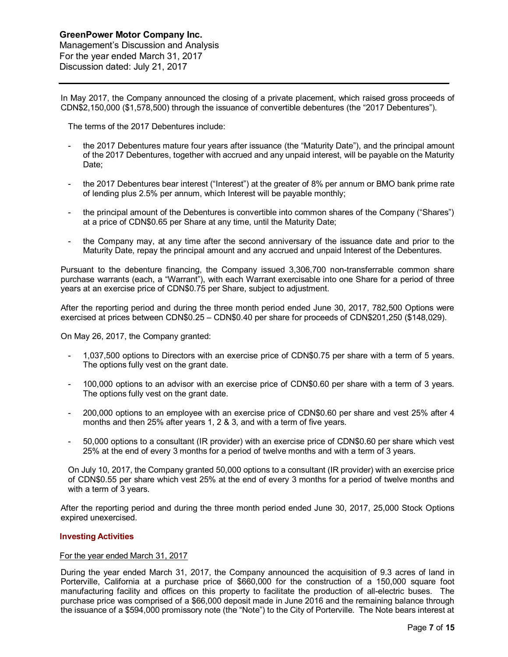Management's Discussion and Analysis For the year ended March 31, 2017 Discussion dated: July 21, 2017

In May 2017, the Company announced the closing of a private placement, which raised gross proceeds of CDN\$2,150,000 (\$1,578,500) through the issuance of convertible debentures (the "2017 Debentures").

The terms of the 2017 Debentures include:

- the 2017 Debentures mature four years after issuance (the "Maturity Date"), and the principal amount of the 2017 Debentures, together with accrued and any unpaid interest, will be payable on the Maturity Date;
- the 2017 Debentures bear interest ("Interest") at the greater of 8% per annum or BMO bank prime rate of lending plus 2.5% per annum, which Interest will be payable monthly;
- the principal amount of the Debentures is convertible into common shares of the Company ("Shares") at a price of CDN\$0.65 per Share at any time, until the Maturity Date;
- the Company may, at any time after the second anniversary of the issuance date and prior to the Maturity Date, repay the principal amount and any accrued and unpaid Interest of the Debentures.

Pursuant to the debenture financing, the Company issued 3,306,700 non-transferrable common share purchase warrants (each, a "Warrant"), with each Warrant exercisable into one Share for a period of three years at an exercise price of CDN\$0.75 per Share, subject to adjustment.

After the reporting period and during the three month period ended June 30, 2017, 782,500 Options were exercised at prices between CDN\$0.25 – CDN\$0.40 per share for proceeds of CDN\$201,250 (\$148,029).

On May 26, 2017, the Company granted:

- 1,037,500 options to Directors with an exercise price of CDN\$0.75 per share with a term of 5 years. The options fully vest on the grant date.
- 100,000 options to an advisor with an exercise price of CDN\$0.60 per share with a term of 3 years. The options fully vest on the grant date.
- 200,000 options to an employee with an exercise price of CDN\$0.60 per share and vest 25% after 4 months and then 25% after years 1, 2 & 3, and with a term of five years.
- 50,000 options to a consultant (IR provider) with an exercise price of CDN\$0.60 per share which vest 25% at the end of every 3 months for a period of twelve months and with a term of 3 years.

On July 10, 2017, the Company granted 50,000 options to a consultant (IR provider) with an exercise price of CDN\$0.55 per share which vest 25% at the end of every 3 months for a period of twelve months and with a term of 3 years.

After the reporting period and during the three month period ended June 30, 2017, 25,000 Stock Options expired unexercised.

#### **Investing Activities**

#### For the year ended March 31, 2017

During the year ended March 31, 2017, the Company announced the acquisition of 9.3 acres of land in Porterville, California at a purchase price of \$660,000 for the construction of a 150,000 square foot manufacturing facility and offices on this property to facilitate the production of all-electric buses. The purchase price was comprised of a \$66,000 deposit made in June 2016 and the remaining balance through the issuance of a \$594,000 promissory note (the "Note") to the City of Porterville. The Note bears interest at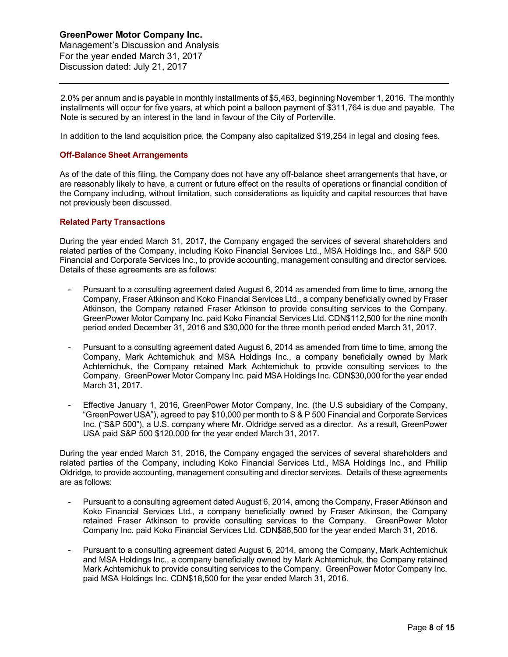2.0% per annum and is payable in monthly installments of \$5,463, beginning November 1, 2016. The monthly installments will occur for five years, at which point a balloon payment of \$311,764 is due and payable. The Note is secured by an interest in the land in favour of the City of Porterville.

In addition to the land acquisition price, the Company also capitalized \$19,254 in legal and closing fees.

#### **Off-Balance Sheet Arrangements**

As of the date of this filing, the Company does not have any off-balance sheet arrangements that have, or are reasonably likely to have, a current or future effect on the results of operations or financial condition of the Company including, without limitation, such considerations as liquidity and capital resources that have not previously been discussed.

#### **Related Party Transactions**

During the year ended March 31, 2017, the Company engaged the services of several shareholders and related parties of the Company, including Koko Financial Services Ltd., MSA Holdings Inc., and S&P 500 Financial and Corporate Services Inc., to provide accounting, management consulting and director services. Details of these agreements are as follows:

- Pursuant to a consulting agreement dated August 6, 2014 as amended from time to time, among the Company, Fraser Atkinson and Koko Financial Services Ltd., a company beneficially owned by Fraser Atkinson, the Company retained Fraser Atkinson to provide consulting services to the Company. GreenPower Motor Company Inc. paid Koko Financial Services Ltd. CDN\$112,500 for the nine month period ended December 31, 2016 and \$30,000 for the three month period ended March 31, 2017.
- Pursuant to a consulting agreement dated August 6, 2014 as amended from time to time, among the Company, Mark Achtemichuk and MSA Holdings Inc., a company beneficially owned by Mark Achtemichuk, the Company retained Mark Achtemichuk to provide consulting services to the Company. GreenPower Motor Company Inc. paid MSA Holdings Inc. CDN\$30,000 for the year ended March 31, 2017.
- Effective January 1, 2016, GreenPower Motor Company, Inc. (the U.S subsidiary of the Company, "GreenPower USA"), agreed to pay \$10,000 per month to S & P 500 Financial and Corporate Services Inc. ("S&P 500"), a U.S. company where Mr. Oldridge served as a director. As a result, GreenPower USA paid S&P 500 \$120,000 for the year ended March 31, 2017.

During the year ended March 31, 2016, the Company engaged the services of several shareholders and related parties of the Company, including Koko Financial Services Ltd., MSA Holdings Inc., and Phillip Oldridge, to provide accounting, management consulting and director services. Details of these agreements are as follows:

- Pursuant to a consulting agreement dated August 6, 2014, among the Company, Fraser Atkinson and Koko Financial Services Ltd., a company beneficially owned by Fraser Atkinson, the Company retained Fraser Atkinson to provide consulting services to the Company. GreenPower Motor Company Inc. paid Koko Financial Services Ltd. CDN\$86,500 for the year ended March 31, 2016.
- Pursuant to a consulting agreement dated August 6, 2014, among the Company, Mark Achtemichuk and MSA Holdings Inc., a company beneficially owned by Mark Achtemichuk, the Company retained Mark Achtemichuk to provide consulting services to the Company. GreenPower Motor Company Inc. paid MSA Holdings Inc. CDN\$18,500 for the year ended March 31, 2016.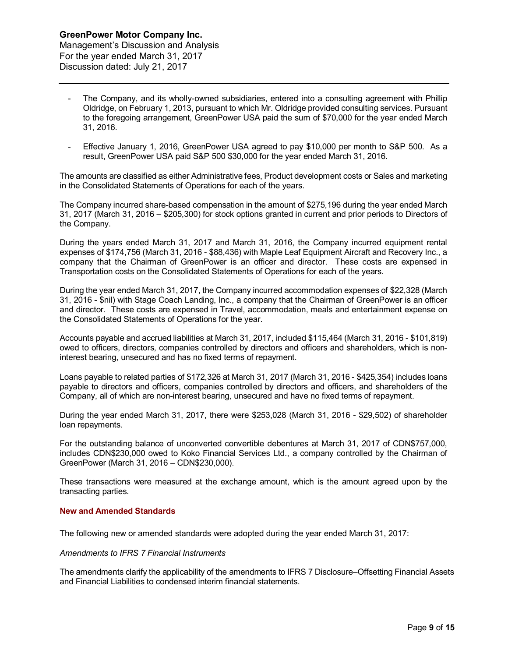- The Company, and its wholly-owned subsidiaries, entered into a consulting agreement with Phillip Oldridge, on February 1, 2013, pursuant to which Mr. Oldridge provided consulting services. Pursuant to the foregoing arrangement, GreenPower USA paid the sum of \$70,000 for the year ended March 31, 2016.
- Effective January 1, 2016, GreenPower USA agreed to pay \$10,000 per month to S&P 500. As a result, GreenPower USA paid S&P 500 \$30,000 for the year ended March 31, 2016.

The amounts are classified as either Administrative fees, Product development costs or Sales and marketing in the Consolidated Statements of Operations for each of the years.

The Company incurred share-based compensation in the amount of \$275,196 during the year ended March 31, 2017 (March 31, 2016 – \$205,300) for stock options granted in current and prior periods to Directors of the Company.

During the years ended March 31, 2017 and March 31, 2016, the Company incurred equipment rental expenses of \$174,756 (March 31, 2016 - \$88,436) with Maple Leaf Equipment Aircraft and Recovery Inc., a company that the Chairman of GreenPower is an officer and director. These costs are expensed in Transportation costs on the Consolidated Statements of Operations for each of the years.

During the year ended March 31, 2017, the Company incurred accommodation expenses of \$22,328 (March 31, 2016 - \$nil) with Stage Coach Landing, Inc., a company that the Chairman of GreenPower is an officer and director. These costs are expensed in Travel, accommodation, meals and entertainment expense on the Consolidated Statements of Operations for the year.

Accounts payable and accrued liabilities at March 31, 2017, included \$115,464 (March 31, 2016 - \$101,819) owed to officers, directors, companies controlled by directors and officers and shareholders, which is noninterest bearing, unsecured and has no fixed terms of repayment.

Loans payable to related parties of \$172,326 at March 31, 2017 (March 31, 2016 - \$425,354) includes loans payable to directors and officers, companies controlled by directors and officers, and shareholders of the Company, all of which are non-interest bearing, unsecured and have no fixed terms of repayment.

During the year ended March 31, 2017, there were \$253,028 (March 31, 2016 - \$29,502) of shareholder loan repayments.

For the outstanding balance of unconverted convertible debentures at March 31, 2017 of CDN\$757,000, includes CDN\$230,000 owed to Koko Financial Services Ltd., a company controlled by the Chairman of GreenPower (March 31, 2016 – CDN\$230,000).

These transactions were measured at the exchange amount, which is the amount agreed upon by the transacting parties.

## **New and Amended Standards**

The following new or amended standards were adopted during the year ended March 31, 2017:

#### *Amendments to IFRS 7 Financial Instruments*

The amendments clarify the applicability of the amendments to IFRS 7 Disclosure–Offsetting Financial Assets and Financial Liabilities to condensed interim financial statements.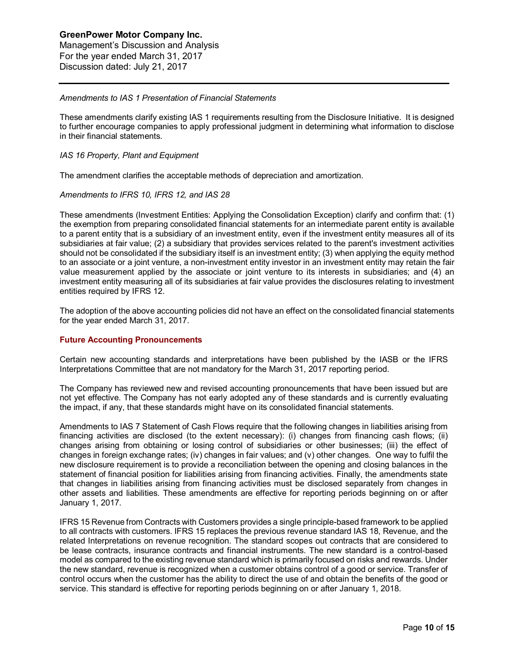#### *Amendments to IAS 1 Presentation of Financial Statements*

These amendments clarify existing IAS 1 requirements resulting from the Disclosure Initiative. It is designed to further encourage companies to apply professional judgment in determining what information to disclose in their financial statements.

#### *IAS 16 Property, Plant and Equipment*

The amendment clarifies the acceptable methods of depreciation and amortization.

#### *Amendments to IFRS 10, IFRS 12, and IAS 28*

These amendments (Investment Entities: Applying the Consolidation Exception) clarify and confirm that: (1) the exemption from preparing consolidated financial statements for an intermediate parent entity is available to a parent entity that is a subsidiary of an investment entity, even if the investment entity measures all of its subsidiaries at fair value; (2) a subsidiary that provides services related to the parent's investment activities should not be consolidated if the subsidiary itself is an investment entity; (3) when applying the equity method to an associate or a joint venture, a non-investment entity investor in an investment entity may retain the fair value measurement applied by the associate or joint venture to its interests in subsidiaries; and (4) an investment entity measuring all of its subsidiaries at fair value provides the disclosures relating to investment entities required by IFRS 12.

The adoption of the above accounting policies did not have an effect on the consolidated financial statements for the year ended March 31, 2017.

#### **Future Accounting Pronouncements**

Certain new accounting standards and interpretations have been published by the IASB or the IFRS Interpretations Committee that are not mandatory for the March 31, 2017 reporting period.

The Company has reviewed new and revised accounting pronouncements that have been issued but are not yet effective. The Company has not early adopted any of these standards and is currently evaluating the impact, if any, that these standards might have on its consolidated financial statements.

Amendments to IAS 7 Statement of Cash Flows require that the following changes in liabilities arising from financing activities are disclosed (to the extent necessary): (i) changes from financing cash flows; (ii) changes arising from obtaining or losing control of subsidiaries or other businesses; (iii) the effect of changes in foreign exchange rates; (iv) changes in fair values; and (v) other changes. One way to fulfil the new disclosure requirement is to provide a reconciliation between the opening and closing balances in the statement of financial position for liabilities arising from financing activities. Finally, the amendments state that changes in liabilities arising from financing activities must be disclosed separately from changes in other assets and liabilities. These amendments are effective for reporting periods beginning on or after January 1, 2017.

IFRS 15 Revenue from Contracts with Customers provides a single principle-based framework to be applied to all contracts with customers. IFRS 15 replaces the previous revenue standard IAS 18, Revenue, and the related Interpretations on revenue recognition. The standard scopes out contracts that are considered to be lease contracts, insurance contracts and financial instruments. The new standard is a control-based model as compared to the existing revenue standard which is primarily focused on risks and rewards. Under the new standard, revenue is recognized when a customer obtains control of a good or service. Transfer of control occurs when the customer has the ability to direct the use of and obtain the benefits of the good or service. This standard is effective for reporting periods beginning on or after January 1, 2018.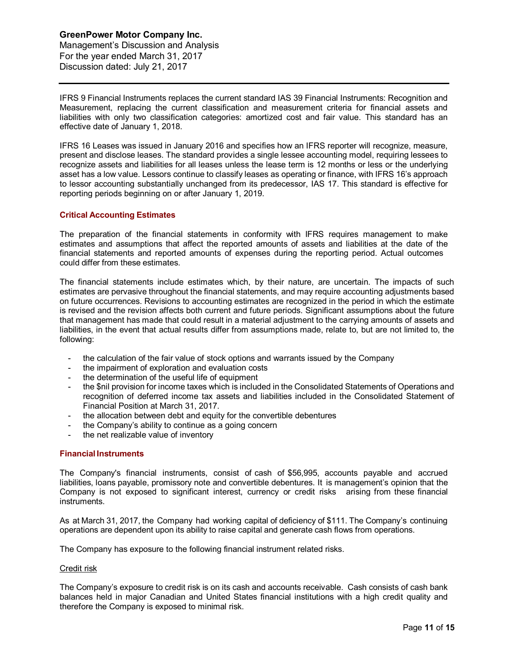IFRS 9 Financial Instruments replaces the current standard IAS 39 Financial Instruments: Recognition and Measurement, replacing the current classification and measurement criteria for financial assets and liabilities with only two classification categories: amortized cost and fair value. This standard has an effective date of January 1, 2018.

IFRS 16 Leases was issued in January 2016 and specifies how an IFRS reporter will recognize, measure, present and disclose leases. The standard provides a single lessee accounting model, requiring lessees to recognize assets and liabilities for all leases unless the lease term is 12 months or less or the underlying asset has a low value. Lessors continue to classify leases as operating or finance, with IFRS 16's approach to lessor accounting substantially unchanged from its predecessor, IAS 17. This standard is effective for reporting periods beginning on or after January 1, 2019.

## **Critical Accounting Estimates**

The preparation of the financial statements in conformity with IFRS requires management to make estimates and assumptions that affect the reported amounts of assets and liabilities at the date of the financial statements and reported amounts of expenses during the reporting period. Actual outcomes could differ from these estimates.

The financial statements include estimates which, by their nature, are uncertain. The impacts of such estimates are pervasive throughout the financial statements, and may require accounting adjustments based on future occurrences. Revisions to accounting estimates are recognized in the period in which the estimate is revised and the revision affects both current and future periods. Significant assumptions about the future that management has made that could result in a material adjustment to the carrying amounts of assets and liabilities, in the event that actual results differ from assumptions made, relate to, but are not limited to, the following:

- the calculation of the fair value of stock options and warrants issued by the Company
- the impairment of exploration and evaluation costs
- the determination of the useful life of equipment
- the \$nil provision for income taxes which is included in the Consolidated Statements of Operations and recognition of deferred income tax assets and liabilities included in the Consolidated Statement of Financial Position at March 31, 2017.
- the allocation between debt and equity for the convertible debentures
- the Company's ability to continue as a going concern
- the net realizable value of inventory

## **Financial Instruments**

The Company's financial instruments, consist of cash of \$56,995, accounts payable and accrued liabilities, loans payable, promissory note and convertible debentures. It is management's opinion that the Company is not exposed to significant interest, currency or credit risks arising from these financial instruments.

As at March 31, 2017, the Company had working capital of deficiency of \$111. The Company's continuing operations are dependent upon its ability to raise capital and generate cash flows from operations.

The Company has exposure to the following financial instrument related risks.

#### Credit risk

The Company's exposure to credit risk is on its cash and accounts receivable. Cash consists of cash bank balances held in major Canadian and United States financial institutions with a high credit quality and therefore the Company is exposed to minimal risk.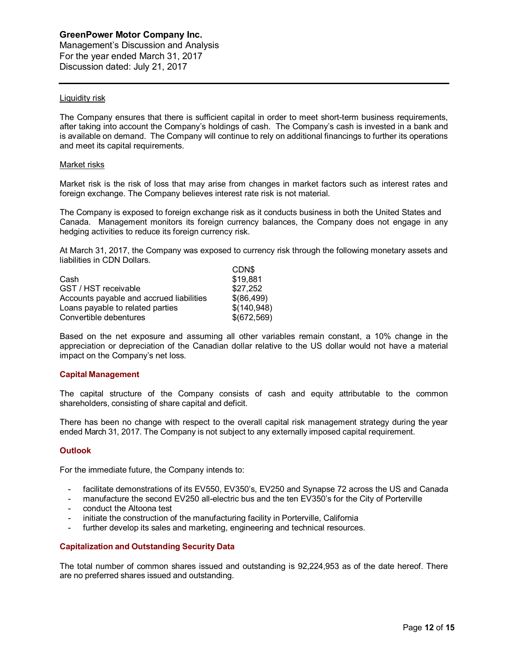Management's Discussion and Analysis For the year ended March 31, 2017 Discussion dated: July 21, 2017

### Liquidity risk

The Company ensures that there is sufficient capital in order to meet short-term business requirements, after taking into account the Company's holdings of cash. The Company's cash is invested in a bank and is available on demand. The Company will continue to rely on additional financings to further its operations and meet its capital requirements.

#### Market risks

Market risk is the risk of loss that may arise from changes in market factors such as interest rates and foreign exchange. The Company believes interest rate risk is not material.

The Company is exposed to foreign exchange risk as it conducts business in both the United States and Canada. Management monitors its foreign currency balances, the Company does not engage in any hedging activities to reduce its foreign currency risk.

At March 31, 2017, the Company was exposed to currency risk through the following monetary assets and liabilities in CDN Dollars.  $CDN$ 

| <b>ULIND</b> |
|--------------|
| \$19,881     |
| \$27,252     |
| \$(86,499)   |
| \$(140, 948) |
| \$(672,569)  |
|              |

Based on the net exposure and assuming all other variables remain constant, a 10% change in the appreciation or depreciation of the Canadian dollar relative to the US dollar would not have a material impact on the Company's net loss.

#### **Capital Management**

The capital structure of the Company consists of cash and equity attributable to the common shareholders, consisting of share capital and deficit.

There has been no change with respect to the overall capital risk management strategy during the year ended March 31, 2017. The Company is not subject to any externally imposed capital requirement.

#### **Outlook**

For the immediate future, the Company intends to:

- facilitate demonstrations of its EV550, EV350's, EV250 and Synapse 72 across the US and Canada
- manufacture the second EV250 all-electric bus and the ten EV350's for the City of Porterville
- conduct the Altoona test
- initiate the construction of the manufacturing facility in Porterville, California
- further develop its sales and marketing, engineering and technical resources.

## **Capitalization and Outstanding Security Data**

The total number of common shares issued and outstanding is 92,224,953 as of the date hereof. There are no preferred shares issued and outstanding.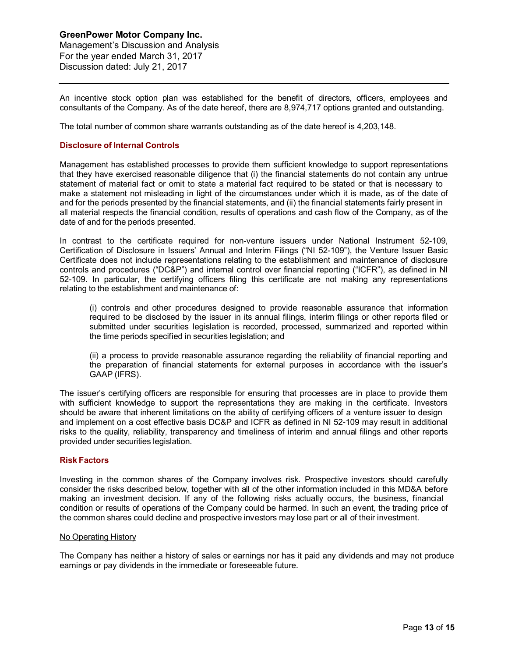An incentive stock option plan was established for the benefit of directors, officers, employees and consultants of the Company. As of the date hereof, there are 8,974,717 options granted and outstanding.

The total number of common share warrants outstanding as of the date hereof is 4,203,148.

#### **Disclosure of Internal Controls**

Management has established processes to provide them sufficient knowledge to support representations that they have exercised reasonable diligence that (i) the financial statements do not contain any untrue statement of material fact or omit to state a material fact required to be stated or that is necessary to make a statement not misleading in light of the circumstances under which it is made, as of the date of and for the periods presented by the financial statements, and (ii) the financial statements fairly present in all material respects the financial condition, results of operations and cash flow of the Company, as of the date of and for the periods presented.

In contrast to the certificate required for non-venture issuers under National Instrument 52-109, Certification of Disclosure in Issuers' Annual and Interim Filings ("NI 52-109"), the Venture Issuer Basic Certificate does not include representations relating to the establishment and maintenance of disclosure controls and procedures ("DC&P") and internal control over financial reporting ("ICFR"), as defined in NI 52-109. In particular, the certifying officers filing this certificate are not making any representations relating to the establishment and maintenance of:

(i) controls and other procedures designed to provide reasonable assurance that information required to be disclosed by the issuer in its annual filings, interim filings or other reports filed or submitted under securities legislation is recorded, processed, summarized and reported within the time periods specified in securities legislation; and

(ii) a process to provide reasonable assurance regarding the reliability of financial reporting and the preparation of financial statements for external purposes in accordance with the issuer's GAAP (IFRS).

The issuer's certifying officers are responsible for ensuring that processes are in place to provide them with sufficient knowledge to support the representations they are making in the certificate. Investors should be aware that inherent limitations on the ability of certifying officers of a venture issuer to design and implement on a cost effective basis DC&P and ICFR as defined in NI 52-109 may result in additional risks to the quality, reliability, transparency and timeliness of interim and annual filings and other reports provided under securities legislation.

#### **Risk Factors**

Investing in the common shares of the Company involves risk. Prospective investors should carefully consider the risks described below, together with all of the other information included in this MD&A before making an investment decision. If any of the following risks actually occurs, the business, financial condition or results of operations of the Company could be harmed. In such an event, the trading price of the common shares could decline and prospective investors may lose part or all of their investment.

#### No Operating History

The Company has neither a history of sales or earnings nor has it paid any dividends and may not produce earnings or pay dividends in the immediate or foreseeable future.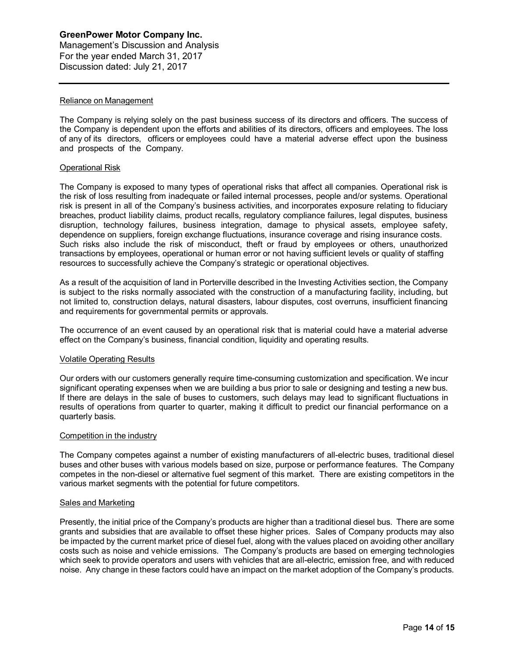#### Reliance on Management

The Company is relying solely on the past business success of its directors and officers. The success of the Company is dependent upon the efforts and abilities of its directors, officers and employees. The loss of any of its directors, officers or employees could have a material adverse effect upon the business and prospects of the Company.

#### Operational Risk

The Company is exposed to many types of operational risks that affect all companies. Operational risk is the risk of loss resulting from inadequate or failed internal processes, people and/or systems. Operational risk is present in all of the Company's business activities, and incorporates exposure relating to fiduciary breaches, product liability claims, product recalls, regulatory compliance failures, legal disputes, business disruption, technology failures, business integration, damage to physical assets, employee safety, dependence on suppliers, foreign exchange fluctuations, insurance coverage and rising insurance costs. Such risks also include the risk of misconduct, theft or fraud by employees or others, unauthorized transactions by employees, operational or human error or not having sufficient levels or quality of staffing resources to successfully achieve the Company's strategic or operational objectives.

As a result of the acquisition of land in Porterville described in the Investing Activities section, the Company is subject to the risks normally associated with the construction of a manufacturing facility, including, but not limited to, construction delays, natural disasters, labour disputes, cost overruns, insufficient financing and requirements for governmental permits or approvals.

The occurrence of an event caused by an operational risk that is material could have a material adverse effect on the Company's business, financial condition, liquidity and operating results.

#### Volatile Operating Results

Our orders with our customers generally require time-consuming customization and specification. We incur significant operating expenses when we are building a bus prior to sale or designing and testing a new bus. If there are delays in the sale of buses to customers, such delays may lead to significant fluctuations in results of operations from quarter to quarter, making it difficult to predict our financial performance on a quarterly basis.

#### Competition in the industry

The Company competes against a number of existing manufacturers of all-electric buses, traditional diesel buses and other buses with various models based on size, purpose or performance features. The Company competes in the non-diesel or alternative fuel segment of this market. There are existing competitors in the various market segments with the potential for future competitors.

#### Sales and Marketing

Presently, the initial price of the Company's products are higher than a traditional diesel bus. There are some grants and subsidies that are available to offset these higher prices. Sales of Company products may also be impacted by the current market price of diesel fuel, along with the values placed on avoiding other ancillary costs such as noise and vehicle emissions. The Company's products are based on emerging technologies which seek to provide operators and users with vehicles that are all-electric, emission free, and with reduced noise. Any change in these factors could have an impact on the market adoption of the Company's products.